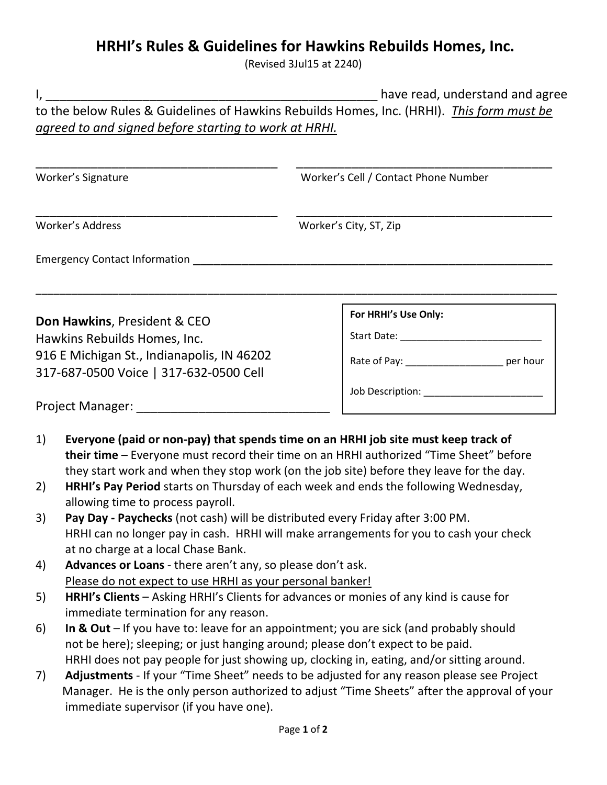## **HRHI's Rules & Guidelines for Hawkins Rebuilds Homes, Inc.**

(Revised 3Jul15 at 2240)

|                                            | have read, understand and agree                                                                                                                                                           |                                                                                           |  |
|--------------------------------------------|-------------------------------------------------------------------------------------------------------------------------------------------------------------------------------------------|-------------------------------------------------------------------------------------------|--|
|                                            |                                                                                                                                                                                           | to the below Rules & Guidelines of Hawkins Rebuilds Homes, Inc. (HRHI). This form must be |  |
|                                            | agreed to and signed before starting to work at HRHI.                                                                                                                                     |                                                                                           |  |
|                                            |                                                                                                                                                                                           |                                                                                           |  |
|                                            |                                                                                                                                                                                           |                                                                                           |  |
| Worker's Signature                         |                                                                                                                                                                                           | Worker's Cell / Contact Phone Number                                                      |  |
|                                            |                                                                                                                                                                                           |                                                                                           |  |
| Worker's Address                           |                                                                                                                                                                                           | Worker's City, ST, Zip                                                                    |  |
|                                            |                                                                                                                                                                                           |                                                                                           |  |
|                                            |                                                                                                                                                                                           |                                                                                           |  |
|                                            |                                                                                                                                                                                           |                                                                                           |  |
|                                            | Don Hawkins, President & CEO                                                                                                                                                              | For HRHI's Use Only:                                                                      |  |
| Hawkins Rebuilds Homes, Inc.               |                                                                                                                                                                                           |                                                                                           |  |
| 916 E Michigan St., Indianapolis, IN 46202 |                                                                                                                                                                                           | Rate of Pay: _______________________ per hour                                             |  |
|                                            | 317-687-0500 Voice   317-632-0500 Cell                                                                                                                                                    |                                                                                           |  |
|                                            |                                                                                                                                                                                           | Job Description: _______________________                                                  |  |
|                                            |                                                                                                                                                                                           |                                                                                           |  |
|                                            |                                                                                                                                                                                           |                                                                                           |  |
| 1)                                         |                                                                                                                                                                                           | Everyone (paid or non-pay) that spends time on an HRHI job site must keep track of        |  |
|                                            |                                                                                                                                                                                           | their time - Everyone must record their time on an HRHI authorized "Time Sheet" before    |  |
|                                            |                                                                                                                                                                                           | they start work and when they stop work (on the job site) before they leave for the day.  |  |
| 2)                                         |                                                                                                                                                                                           | HRHI's Pay Period starts on Thursday of each week and ends the following Wednesday,       |  |
|                                            | allowing time to process payroll.                                                                                                                                                         |                                                                                           |  |
| 3)                                         | Pay Day - Paychecks (not cash) will be distributed every Friday after 3:00 PM.<br>HRHI can no longer pay in cash. HRHI will make arrangements for you to cash your check                  |                                                                                           |  |
|                                            |                                                                                                                                                                                           |                                                                                           |  |
|                                            | at no charge at a local Chase Bank.<br>Advances or Loans - there aren't any, so please don't ask.                                                                                         |                                                                                           |  |
| 4)                                         |                                                                                                                                                                                           |                                                                                           |  |
| 5)                                         | Please do not expect to use HRHI as your personal banker!<br>HRHI's Clients - Asking HRHI's Clients for advances or monies of any kind is cause for                                       |                                                                                           |  |
|                                            | immediate termination for any reason.                                                                                                                                                     |                                                                                           |  |
| 6)                                         |                                                                                                                                                                                           |                                                                                           |  |
|                                            | In & Out $-$ If you have to: leave for an appointment; you are sick (and probably should<br>not be here); sleeping; or just hanging around; please don't expect to be paid.               |                                                                                           |  |
|                                            |                                                                                                                                                                                           |                                                                                           |  |
|                                            | HRHI does not pay people for just showing up, clocking in, eating, and/or sitting around.                                                                                                 |                                                                                           |  |
| 7)                                         | Adjustments - If your "Time Sheet" needs to be adjusted for any reason please see Project<br>Manager. He is the only person authorized to adjust "Time Sheets" after the approval of your |                                                                                           |  |
|                                            | immediate supervisor (if you have one).                                                                                                                                                   |                                                                                           |  |
|                                            |                                                                                                                                                                                           |                                                                                           |  |
|                                            |                                                                                                                                                                                           | Page 1 of 2                                                                               |  |